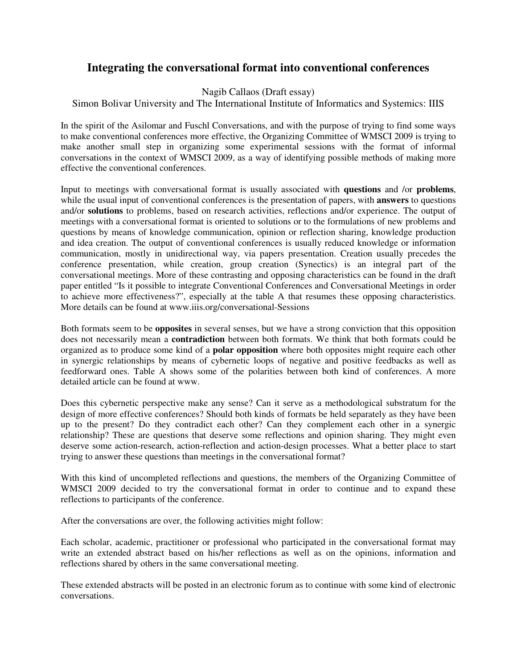## **Integrating the conversational format into conventional conferences**

Nagib Callaos (Draft essay)

## Simon Bolivar University and The International Institute of Informatics and Systemics: IIIS

In the spirit of the Asilomar and Fuschl Conversations, and with the purpose of trying to find some ways to make conventional conferences more effective, the Organizing Committee of WMSCI 2009 is trying to make another small step in organizing some experimental sessions with the format of informal conversations in the context of WMSCI 2009, as a way of identifying possible methods of making more effective the conventional conferences.

Input to meetings with conversational format is usually associated with **questions** and /or **problems**, while the usual input of conventional conferences is the presentation of papers, with **answers** to questions and/or **solutions** to problems, based on research activities, reflections and/or experience. The output of meetings with a conversational format is oriented to solutions or to the formulations of new problems and questions by means of knowledge communication, opinion or reflection sharing, knowledge production and idea creation. The output of conventional conferences is usually reduced knowledge or information communication, mostly in unidirectional way, via papers presentation. Creation usually precedes the conference presentation, while creation, group creation (Synectics) is an integral part of the conversational meetings. More of these contrasting and opposing characteristics can be found in the draft paper entitled "Is it possible to integrate Conventional Conferences and Conversational Meetings in order to achieve more effectiveness?", especially at the table A that resumes these opposing characteristics. More details can be found at www.iiis.org/conversational-Sessions

Both formats seem to be **opposites** in several senses, but we have a strong conviction that this opposition does not necessarily mean a **contradiction** between both formats. We think that both formats could be organized as to produce some kind of a **polar opposition** where both opposites might require each other in synergic relationships by means of cybernetic loops of negative and positive feedbacks as well as feedforward ones. Table A shows some of the polarities between both kind of conferences. A more detailed article can be found at www.

Does this cybernetic perspective make any sense? Can it serve as a methodological substratum for the design of more effective conferences? Should both kinds of formats be held separately as they have been up to the present? Do they contradict each other? Can they complement each other in a synergic relationship? These are questions that deserve some reflections and opinion sharing. They might even deserve some action-research, action-reflection and action-design processes. What a better place to start trying to answer these questions than meetings in the conversational format?

With this kind of uncompleted reflections and questions, the members of the Organizing Committee of WMSCI 2009 decided to try the conversational format in order to continue and to expand these reflections to participants of the conference.

After the conversations are over, the following activities might follow:

Each scholar, academic, practitioner or professional who participated in the conversational format may write an extended abstract based on his/her reflections as well as on the opinions, information and reflections shared by others in the same conversational meeting.

These extended abstracts will be posted in an electronic forum as to continue with some kind of electronic conversations.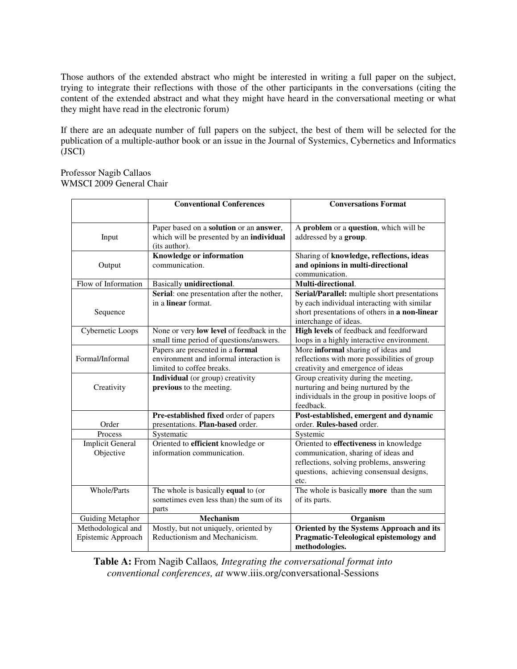Those authors of the extended abstract who might be interested in writing a full paper on the subject, trying to integrate their reflections with those of the other participants in the conversations (citing the content of the extended abstract and what they might have heard in the conversational meeting or what they might have read in the electronic forum)

If there are an adequate number of full papers on the subject, the best of them will be selected for the publication of a multiple-author book or an issue in the Journal of Systemics, Cybernetics and Informatics (JSCI)

#### Professor Nagib Callaos WMSCI 2009 General Chair

|                         | <b>Conventional Conferences</b>                                             | <b>Conversations Format</b>                                                        |
|-------------------------|-----------------------------------------------------------------------------|------------------------------------------------------------------------------------|
|                         |                                                                             |                                                                                    |
|                         | Paper based on a solution or an answer,                                     | A problem or a question, which will be                                             |
| Input                   | which will be presented by an individual                                    | addressed by a group.                                                              |
|                         | (its author).                                                               |                                                                                    |
|                         | Knowledge or information                                                    | Sharing of knowledge, reflections, ideas                                           |
| Output                  | communication.                                                              | and opinions in multi-directional                                                  |
|                         |                                                                             | communication.                                                                     |
| Flow of Information     | Basically unidirectional.                                                   | Multi-directional.                                                                 |
|                         | Serial: one presentation after the nother,                                  | Serial/Parallel: multiple short presentations                                      |
|                         | in a linear format.                                                         | by each individual interacting with similar                                        |
| Sequence                |                                                                             | short presentations of others in a non-linear                                      |
|                         |                                                                             | interchange of ideas.                                                              |
| Cybernetic Loops        | None or very low level of feedback in the                                   | High levels of feedback and feedforward                                            |
|                         | small time period of questions/answers.                                     | loops in a highly interactive environment.                                         |
| Formal/Informal         | Papers are presented in a formal<br>environment and informal interaction is | More informal sharing of ideas and<br>reflections with more possibilities of group |
|                         | limited to coffee breaks.                                                   | creativity and emergence of ideas                                                  |
|                         | <b>Individual</b> (or group) creativity                                     | Group creativity during the meeting,                                               |
| Creativity              | previous to the meeting.                                                    | nurturing and being nurtured by the                                                |
|                         |                                                                             | individuals in the group in positive loops of                                      |
|                         |                                                                             | feedback.                                                                          |
|                         | Pre-established fixed order of papers                                       | Post-established, emergent and dynamic                                             |
| Order                   | presentations. Plan-based order.                                            | order. Rules-based order.                                                          |
| Process                 | Systematic                                                                  | Systemic                                                                           |
| <b>Implicit General</b> | Oriented to efficient knowledge or                                          | Oriented to effectiveness in knowledge                                             |
| Objective               | information communication.                                                  | communication, sharing of ideas and                                                |
|                         |                                                                             | reflections, solving problems, answering                                           |
|                         |                                                                             | questions, achieving consensual designs,                                           |
|                         |                                                                             | etc.                                                                               |
| <b>Whole/Parts</b>      | The whole is basically equal to (or                                         | The whole is basically more than the sum                                           |
|                         | sometimes even less than) the sum of its                                    | of its parts.                                                                      |
|                         | parts                                                                       |                                                                                    |
| <b>Guiding Metaphor</b> | <b>Mechanism</b>                                                            | Organism                                                                           |
| Methodological and      | Mostly, but not uniquely, oriented by                                       | Oriented by the Systems Approach and its                                           |
| Epistemic Approach      | Reductionism and Mechanicism.                                               | Pragmatic-Teleological epistemology and                                            |
|                         |                                                                             | methodologies.                                                                     |

**Table A:** From Nagib Callaos*, Integrating the conversational format into conventional conferences, at* www.iiis.org/conversational-Sessions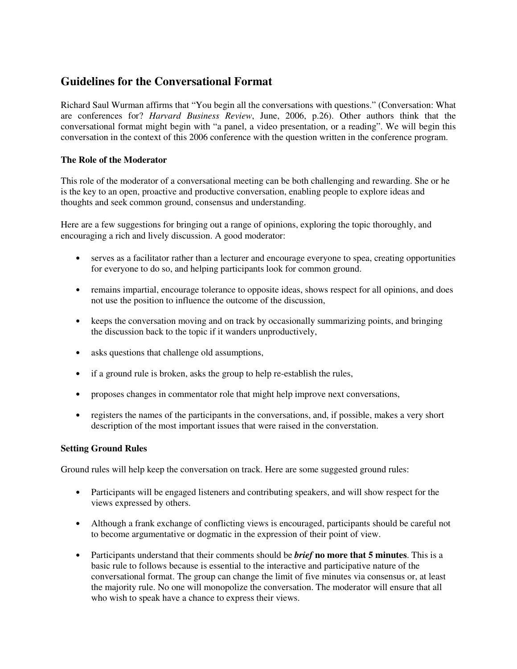# **Guidelines for the Conversational Format**

Richard Saul Wurman affirms that "You begin all the conversations with questions." (Conversation: What are conferences for? *Harvard Business Review*, June, 2006, p.26). Other authors think that the conversational format might begin with "a panel, a video presentation, or a reading". We will begin this conversation in the context of this 2006 conference with the question written in the conference program.

## **The Role of the Moderator**

This role of the moderator of a conversational meeting can be both challenging and rewarding. She or he is the key to an open, proactive and productive conversation, enabling people to explore ideas and thoughts and seek common ground, consensus and understanding.

Here are a few suggestions for bringing out a range of opinions, exploring the topic thoroughly, and encouraging a rich and lively discussion. A good moderator:

- serves as a facilitator rather than a lecturer and encourage everyone to spea, creating opportunities for everyone to do so, and helping participants look for common ground.
- remains impartial, encourage tolerance to opposite ideas, shows respect for all opinions, and does not use the position to influence the outcome of the discussion,
- keeps the conversation moving and on track by occasionally summarizing points, and bringing the discussion back to the topic if it wanders unproductively,
- asks questions that challenge old assumptions,
- if a ground rule is broken, asks the group to help re-establish the rules,
- proposes changes in commentator role that might help improve next conversations,
- registers the names of the participants in the conversations, and, if possible, makes a very short description of the most important issues that were raised in the converstation.

## **Setting Ground Rules**

Ground rules will help keep the conversation on track. Here are some suggested ground rules:

- Participants will be engaged listeners and contributing speakers, and will show respect for the views expressed by others.
- Although a frank exchange of conflicting views is encouraged, participants should be careful not to become argumentative or dogmatic in the expression of their point of view.
- Participants understand that their comments should be *brief* **no more that 5 minutes**. This is a basic rule to follows because is essential to the interactive and participative nature of the conversational format. The group can change the limit of five minutes via consensus or, at least the majority rule. No one will monopolize the conversation. The moderator will ensure that all who wish to speak have a chance to express their views.